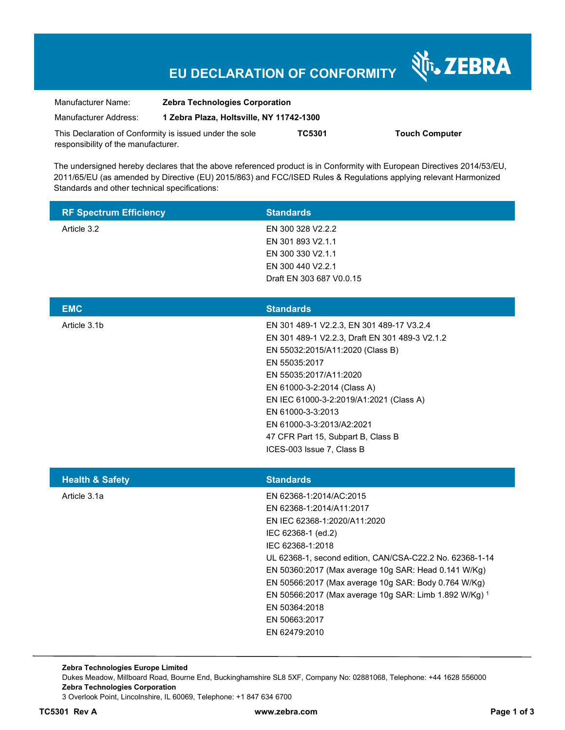# **EU DECLARATION OF CONFORMITY**

Nr. ZEBRA

| Manufacturer Name:                  | <b>Zebra Technologies Corporation</b><br>1 Zebra Plaza, Holtsville, NY 11742-1300 |        |                       |
|-------------------------------------|-----------------------------------------------------------------------------------|--------|-----------------------|
| Manufacturer Address:               |                                                                                   |        |                       |
|                                     | This Declaration of Conformity is issued under the sole                           | TC5301 | <b>Touch Computer</b> |
| responsibility of the manufacturer. |                                                                                   |        |                       |

The undersigned hereby declares that the above referenced product is in Conformity with European Directives 2014/53/EU, 2011/65/EU (as amended by Directive (EU) 2015/863) and FCC/ISED Rules & Regulations applying relevant Harmonized Standards and other technical specifications:

| <b>RF Spectrum Efficiency</b> | <b>Standards</b>                                                                                                                                                                                                                                                                                                                                                                                                       |
|-------------------------------|------------------------------------------------------------------------------------------------------------------------------------------------------------------------------------------------------------------------------------------------------------------------------------------------------------------------------------------------------------------------------------------------------------------------|
| Article 3.2                   | EN 300 328 V2.2.2<br>EN 301 893 V2.1.1<br>EN 300 330 V2.1.1<br>EN 300 440 V2.2.1<br>Draft EN 303 687 V0.0.15                                                                                                                                                                                                                                                                                                           |
| <b>EMC</b>                    | <b>Standards</b>                                                                                                                                                                                                                                                                                                                                                                                                       |
| Article 3.1b                  | EN 301 489-1 V2.2.3, EN 301 489-17 V3.2.4<br>EN 301 489-1 V2.2.3, Draft EN 301 489-3 V2.1.2<br>EN 55032:2015/A11:2020 (Class B)<br>EN 55035:2017<br>EN 55035:2017/A11:2020<br>EN 61000-3-2:2014 (Class A)<br>EN IEC 61000-3-2:2019/A1:2021 (Class A)<br>EN 61000-3-3:2013<br>EN 61000-3-3:2013/A2:2021<br>47 CFR Part 15, Subpart B, Class B<br>ICES-003 Issue 7, Class B                                              |
| <b>Health &amp; Safety</b>    | <b>Standards</b>                                                                                                                                                                                                                                                                                                                                                                                                       |
| Article 3.1a                  | EN 62368-1:2014/AC:2015<br>EN 62368-1:2014/A11:2017<br>EN IEC 62368-1:2020/A11:2020<br>IEC 62368-1 (ed.2)<br>IEC 62368-1:2018<br>UL 62368-1, second edition, CAN/CSA-C22.2 No. 62368-1-14<br>EN 50360:2017 (Max average 10g SAR: Head 0.141 W/Kg)<br>EN 50566:2017 (Max average 10g SAR: Body 0.764 W/Kg)<br>EN 50566:2017 (Max average 10g SAR: Limb 1.892 W/Kg) 1<br>EN 50364:2018<br>EN 50663:2017<br>EN 62479:2010 |

**Zebra Technologies Europe Limited**  Dukes Meadow, Millboard Road, Bourne End, Buckinghamshire SL8 5XF, Company No: 02881068, Telephone: +44 1628 556000 **Zebra Technologies Corporation**  3 Overlook Point, Lincolnshire, IL 60069, Telephone: +1 847 634 6700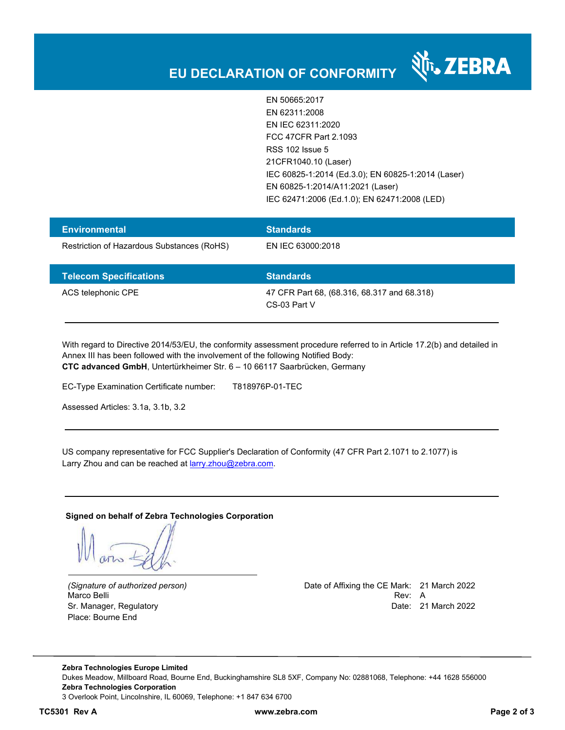

EN 50665:2017 EN 62311:2008 EN IEC 62311:2020 FCC 47CFR Part 2.1093 RSS 102 Issue 5 21CFR1040.10 (Laser) IEC 60825-1:2014 (Ed.3.0); EN 60825-1:2014 (Laser) EN 60825-1:2014/A11:2021 (Laser) IEC 62471:2006 (Ed.1.0); EN 62471:2008 (LED)

| <b>Environmental</b>                       | <b>Standards</b>  |  |
|--------------------------------------------|-------------------|--|
| Restriction of Hazardous Substances (RoHS) | EN IEC 63000:2018 |  |
|                                            |                   |  |
| <b>Telecom Specifications</b>              | <b>Standards</b>  |  |

With regard to Directive 2014/53/EU, the conformity assessment procedure referred to in Article 17.2(b) and detailed in Annex III has been followed with the involvement of the following Notified Body: **CTC advanced GmbH**, Untertürkheimer Str. 6 – 10 66117 Saarbrücken, Germany

EC-Type Examination Certificate number: T818976P-01-TEC

Assessed Articles: 3.1a, 3.1b, 3.2

US company representative for FCC Supplier's Declaration of Conformity (47 CFR Part 2.1071 to 2.1077) is Larry Zhou and can be reached at **larry.zhou@zebra.com.** 

**Signed on behalf of Zebra Technologies Corporation** 

Place: Bourne End

*(Signature of authorized person)* Date of Affixing the CE Mark: 21 March 2022 Marco Belli Rev: A Alexander Communication of the Communication of the Communication of the Communication of the Communication of the Communication of the Communication of the Communication of the Communication of the Comm Sr. Manager, Regulatory **Date: 21 March 2022** 

**Zebra Technologies Europe Limited**  Dukes Meadow, Millboard Road, Bourne End, Buckinghamshire SL8 5XF, Company No: 02881068, Telephone: +44 1628 556000 **Zebra Technologies Corporation**  3 Overlook Point, Lincolnshire, IL 60069, Telephone: +1 847 634 6700

**TC5301 Rev A www.zebra.com Page 2 of 3**